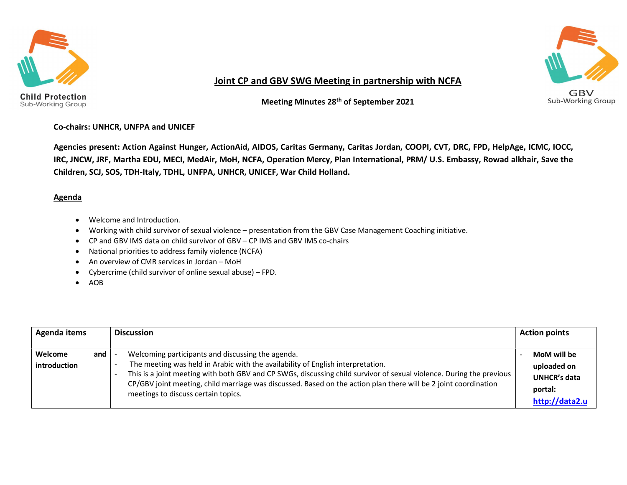

Sub-Working Group



#### Joint CP and GBV SWG Meeting in partnership with NCFA

Meeting Minutes 28th of September 2021

#### Co-chairs: UNHCR, UNFPA and UNICEF

Agencies present: Action Against Hunger, ActionAid, AIDOS, Caritas Germany, Caritas Jordan, COOPI, CVT, DRC, FPD, HelpAge, ICMC, IOCC, IRC, JNCW, JRF, Martha EDU, MECI, MedAir, MoH, NCFA, Operation Mercy, Plan International, PRM/ U.S. Embassy, Rowad alkhair, Save the Children, SCJ, SOS, TDH-Italy, TDHL, UNFPA, UNHCR, UNICEF, War Child Holland.

#### **Agenda**

- Welcome and Introduction.
- Working with child survivor of sexual violence presentation from the GBV Case Management Coaching initiative.
- CP and GBV IMS data on child survivor of GBV CP IMS and GBV IMS co-chairs
- National priorities to address family violence (NCFA)
- An overview of CMR services in Jordan MoH
- Cybercrime (child survivor of online sexual abuse) FPD.
- $\bullet$  AOB

| Agenda items                          | <b>Discussion</b>                                                                                                                                                                                                                                                                                                                                                                                                      | <b>Action points</b>                                                           |  |
|---------------------------------------|------------------------------------------------------------------------------------------------------------------------------------------------------------------------------------------------------------------------------------------------------------------------------------------------------------------------------------------------------------------------------------------------------------------------|--------------------------------------------------------------------------------|--|
| <b>Welcome</b><br>and<br>introduction | Welcoming participants and discussing the agenda.<br>The meeting was held in Arabic with the availability of English interpretation.<br>This is a joint meeting with both GBV and CP SWGs, discussing child survivor of sexual violence. During the previous<br>CP/GBV joint meeting, child marriage was discussed. Based on the action plan there will be 2 joint coordination<br>meetings to discuss certain topics. | MoM will be<br>uploaded on<br><b>UNHCR's data</b><br>portal:<br>http://data2.u |  |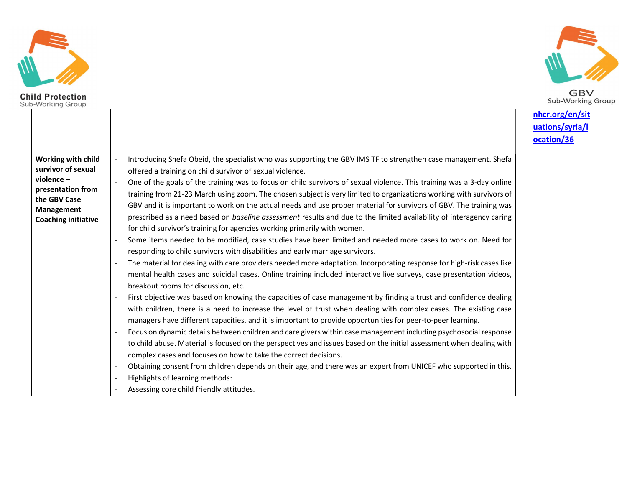



GBV<br>Sub-Working Group

|                                                                                                                                        |                                                                                                                                                                                                                                                                                                                                                                                                                                                                                                                                                                                                                                                                                                                                                                                                                                                                                                                                                                                                                                                                                                                                                                                                                                                                                                                                                                                                                                                                                                                                                                                                                                                                                                                                                                                                                                                                                                                                                                                                                                                                                                                     | nhcr.org/en/sit |
|----------------------------------------------------------------------------------------------------------------------------------------|---------------------------------------------------------------------------------------------------------------------------------------------------------------------------------------------------------------------------------------------------------------------------------------------------------------------------------------------------------------------------------------------------------------------------------------------------------------------------------------------------------------------------------------------------------------------------------------------------------------------------------------------------------------------------------------------------------------------------------------------------------------------------------------------------------------------------------------------------------------------------------------------------------------------------------------------------------------------------------------------------------------------------------------------------------------------------------------------------------------------------------------------------------------------------------------------------------------------------------------------------------------------------------------------------------------------------------------------------------------------------------------------------------------------------------------------------------------------------------------------------------------------------------------------------------------------------------------------------------------------------------------------------------------------------------------------------------------------------------------------------------------------------------------------------------------------------------------------------------------------------------------------------------------------------------------------------------------------------------------------------------------------------------------------------------------------------------------------------------------------|-----------------|
|                                                                                                                                        |                                                                                                                                                                                                                                                                                                                                                                                                                                                                                                                                                                                                                                                                                                                                                                                                                                                                                                                                                                                                                                                                                                                                                                                                                                                                                                                                                                                                                                                                                                                                                                                                                                                                                                                                                                                                                                                                                                                                                                                                                                                                                                                     | uations/syria/l |
|                                                                                                                                        |                                                                                                                                                                                                                                                                                                                                                                                                                                                                                                                                                                                                                                                                                                                                                                                                                                                                                                                                                                                                                                                                                                                                                                                                                                                                                                                                                                                                                                                                                                                                                                                                                                                                                                                                                                                                                                                                                                                                                                                                                                                                                                                     | ocation/36      |
| Working with child<br>survivor of sexual<br>violence-<br>presentation from<br>the GBV Case<br>Management<br><b>Coaching initiative</b> | Introducing Shefa Obeid, the specialist who was supporting the GBV IMS TF to strengthen case management. Shefa<br>offered a training on child survivor of sexual violence.<br>One of the goals of the training was to focus on child survivors of sexual violence. This training was a 3-day online<br>training from 21-23 March using zoom. The chosen subject is very limited to organizations working with survivors of<br>GBV and it is important to work on the actual needs and use proper material for survivors of GBV. The training was<br>prescribed as a need based on baseline assessment results and due to the limited availability of interagency caring<br>for child survivor's training for agencies working primarily with women.<br>Some items needed to be modified, case studies have been limited and needed more cases to work on. Need for<br>responding to child survivors with disabilities and early marriage survivors.<br>The material for dealing with care providers needed more adaptation. Incorporating response for high-risk cases like<br>mental health cases and suicidal cases. Online training included interactive live surveys, case presentation videos,<br>breakout rooms for discussion, etc.<br>First objective was based on knowing the capacities of case management by finding a trust and confidence dealing<br>with children, there is a need to increase the level of trust when dealing with complex cases. The existing case<br>managers have different capacities, and it is important to provide opportunities for peer-to-peer learning.<br>Focus on dynamic details between children and care givers within case management including psychosocial response<br>to child abuse. Material is focused on the perspectives and issues based on the initial assessment when dealing with<br>complex cases and focuses on how to take the correct decisions.<br>Obtaining consent from children depends on their age, and there was an expert from UNICEF who supported in this.<br>Highlights of learning methods:<br>Assessing core child friendly attitudes. |                 |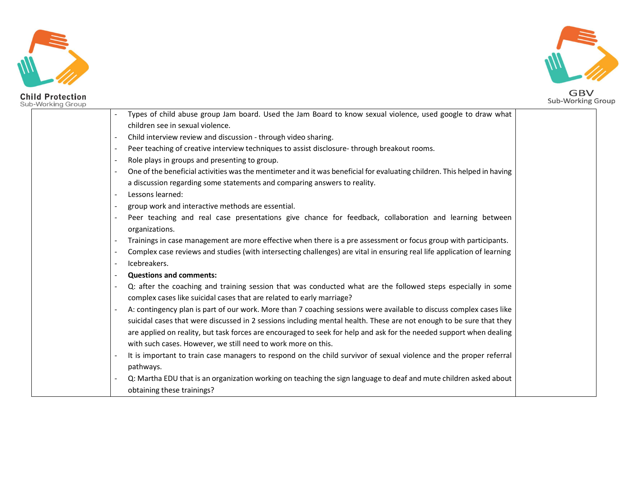



GBV<br>Sub-Working Group

| Types of child abuse group Jam board. Used the Jam Board to know sexual violence, used google to draw what               |
|--------------------------------------------------------------------------------------------------------------------------|
| children see in sexual violence.                                                                                         |
| Child interview review and discussion - through video sharing.                                                           |
| Peer teaching of creative interview techniques to assist disclosure-through breakout rooms.<br>$\blacksquare$            |
| Role plays in groups and presenting to group.<br>$\sim$                                                                  |
| One of the beneficial activities was the mentimeter and it was beneficial for evaluating children. This helped in having |
| a discussion regarding some statements and comparing answers to reality.                                                 |
| Lessons learned:<br>$\overline{\phantom{a}}$                                                                             |
| group work and interactive methods are essential.                                                                        |
| Peer teaching and real case presentations give chance for feedback, collaboration and learning between                   |
| organizations.                                                                                                           |
| Trainings in case management are more effective when there is a pre assessment or focus group with participants.         |
| Complex case reviews and studies (with intersecting challenges) are vital in ensuring real life application of learning  |
| Icebreakers.<br>$\sim$                                                                                                   |
| <b>Questions and comments:</b><br>$\sim$                                                                                 |
| Q: after the coaching and training session that was conducted what are the followed steps especially in some             |
| complex cases like suicidal cases that are related to early marriage?                                                    |
| A: contingency plan is part of our work. More than 7 coaching sessions were available to discuss complex cases like      |
| suicidal cases that were discussed in 2 sessions including mental health. These are not enough to be sure that they      |
| are applied on reality, but task forces are encouraged to seek for help and ask for the needed support when dealing      |
| with such cases. However, we still need to work more on this.                                                            |
| It is important to train case managers to respond on the child survivor of sexual violence and the proper referral       |
| pathways.                                                                                                                |
| Q: Martha EDU that is an organization working on teaching the sign language to deaf and mute children asked about        |
| obtaining these trainings?                                                                                               |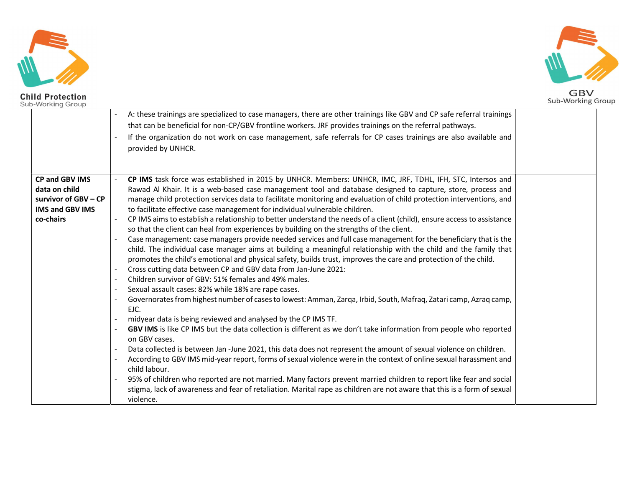





A: these trainings are specialized to case managers, there are other trainings like GBV and CP safe referral trainings that can be beneficial for non-CP/GBV frontline workers. JRF provides trainings on the referral pathways.<br>If the organization do not work on case management, safe referrals for CP cases trainings are also available and provided by UNHCR. CP and GBV IMS data on child survivor of GBV – CP IMS and GBV IMS | to facilitate effective case management for individual vulnerable children. co-chairs - CP IMS task force was established in 2015 by UNHCR. Members: UNHCR, IMC, JRF, TDHL, IFH, STC, Intersos and Rawad Al Khair. It is a web-based case management tool and database designed to capture, store, process and manage child protection services data to facilitate monitoring and evaluation of child protection interventions, and CP IMS aims to establish a relationship to better understand the needs of a client (child), ensure access to assistance so that the client can heal from experiences by building on the strengths of the client.<br>Case management: case managers provide needed services and full case management for the beneficiary that is the child. The individual case manager aims at building a meaningful relationship with the child and the family that promotes the child's emotional and physical safety, builds trust, improves the care and protection of the child.<br>
1. Cross cutting data between CP and GBV data from Jan-June 2021:<br>
2. Children survivor of GBV: 51% females EJC.<br>- midyear data is being reviewed and analysed by the CP IMS TF.<br>- **GBV IMS** is like CP IMS but the data collection is different as we don't take information from people who reported on GBV cases.<br>Data collected is between Jan -June 2021, this data does not represent the amount of sexual violence on children.<br>According to GBV IMS mid-year report, forms of sexual violence were in the context of online s child labour.<br>95% of children who reported are not married. Many factors prevent married children to report like fear and social stigma, lack of awareness and fear of retaliation. Marital rape as children are not aware that this is a form of sexual violence.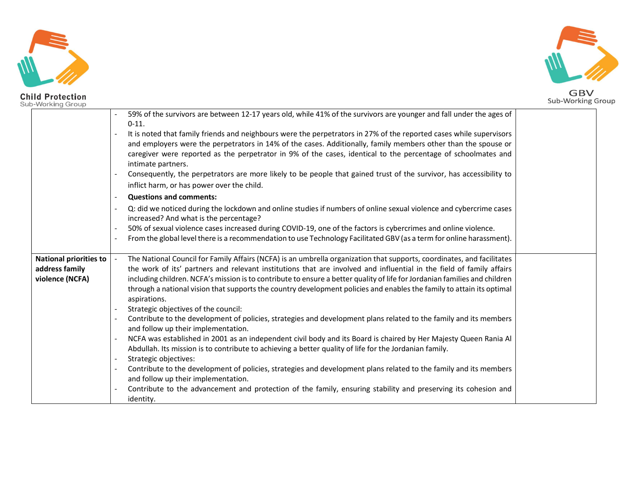



|                        | 59% of the survivors are between 12-17 years old, while 41% of the survivors are younger and fall under the ages of                   |  |
|------------------------|---------------------------------------------------------------------------------------------------------------------------------------|--|
|                        | $0 - 11.$                                                                                                                             |  |
|                        | It is noted that family friends and neighbours were the perpetrators in 27% of the reported cases while supervisors                   |  |
|                        | and employers were the perpetrators in 14% of the cases. Additionally, family members other than the spouse or                        |  |
|                        | caregiver were reported as the perpetrator in 9% of the cases, identical to the percentage of schoolmates and                         |  |
|                        | intimate partners.                                                                                                                    |  |
|                        | Consequently, the perpetrators are more likely to be people that gained trust of the survivor, has accessibility to                   |  |
|                        | inflict harm, or has power over the child.                                                                                            |  |
|                        | <b>Questions and comments:</b>                                                                                                        |  |
|                        | Q: did we noticed during the lockdown and online studies if numbers of online sexual violence and cybercrime cases<br>$\blacksquare$  |  |
|                        | increased? And what is the percentage?                                                                                                |  |
|                        | 50% of sexual violence cases increased during COVID-19, one of the factors is cybercrimes and online violence.                        |  |
|                        | From the global level there is a recommendation to use Technology Facilitated GBV (as a term for online harassment).                  |  |
|                        |                                                                                                                                       |  |
| National priorities to | The National Council for Family Affairs (NCFA) is an umbrella organization that supports, coordinates, and facilitates                |  |
| address family         | the work of its' partners and relevant institutions that are involved and influential in the field of family affairs                  |  |
| violence (NCFA)        | including children. NCFA's mission is to contribute to ensure a better quality of life for Jordanian families and children            |  |
|                        | through a national vision that supports the country development policies and enables the family to attain its optimal<br>aspirations. |  |
|                        | Strategic objectives of the council:                                                                                                  |  |
|                        | Contribute to the development of policies, strategies and development plans related to the family and its members                     |  |
|                        | and follow up their implementation.                                                                                                   |  |
|                        | NCFA was established in 2001 as an independent civil body and its Board is chaired by Her Majesty Queen Rania Al                      |  |
|                        | Abdullah. Its mission is to contribute to achieving a better quality of life for the Jordanian family.                                |  |
|                        | Strategic objectives:                                                                                                                 |  |
|                        | Contribute to the development of policies, strategies and development plans related to the family and its members<br>$\blacksquare$   |  |
|                        | and follow up their implementation.                                                                                                   |  |
|                        | Contribute to the advancement and protection of the family, ensuring stability and preserving its cohesion and                        |  |
|                        | identity.                                                                                                                             |  |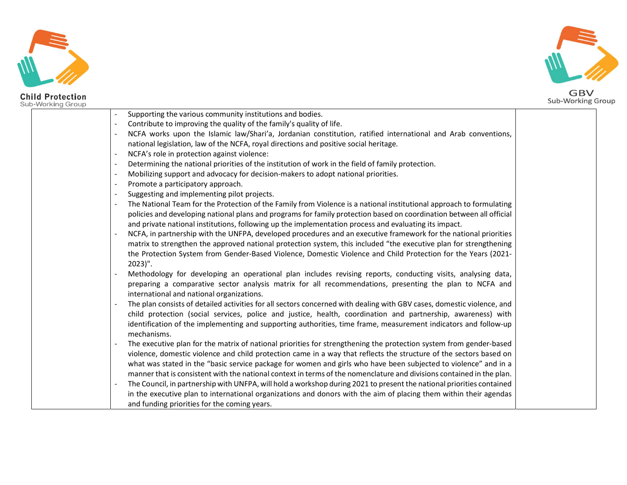



| Supporting the various community institutions and bodies.<br>$\blacksquare$                                                                                                                                                   |  |
|-------------------------------------------------------------------------------------------------------------------------------------------------------------------------------------------------------------------------------|--|
| Contribute to improving the quality of the family's quality of life.                                                                                                                                                          |  |
| NCFA works upon the Islamic law/Shari'a, Jordanian constitution, ratified international and Arab conventions,                                                                                                                 |  |
| national legislation, law of the NCFA, royal directions and positive social heritage.                                                                                                                                         |  |
| NCFA's role in protection against violence:                                                                                                                                                                                   |  |
| Determining the national priorities of the institution of work in the field of family protection.                                                                                                                             |  |
| Mobilizing support and advocacy for decision-makers to adopt national priorities.                                                                                                                                             |  |
| Promote a participatory approach.                                                                                                                                                                                             |  |
| Suggesting and implementing pilot projects.<br>$\overline{\phantom{a}}$                                                                                                                                                       |  |
| The National Team for the Protection of the Family from Violence is a national institutional approach to formulating                                                                                                          |  |
| policies and developing national plans and programs for family protection based on coordination between all official<br>and private national institutions, following up the implementation process and evaluating its impact. |  |
| NCFA, in partnership with the UNFPA, developed procedures and an executive framework for the national priorities                                                                                                              |  |
| matrix to strengthen the approved national protection system, this included "the executive plan for strengthening                                                                                                             |  |
| the Protection System from Gender-Based Violence, Domestic Violence and Child Protection for the Years (2021-                                                                                                                 |  |
| $2023$ ".                                                                                                                                                                                                                     |  |
| Methodology for developing an operational plan includes revising reports, conducting visits, analysing data,                                                                                                                  |  |
| preparing a comparative sector analysis matrix for all recommendations, presenting the plan to NCFA and                                                                                                                       |  |
| international and national organizations.                                                                                                                                                                                     |  |
| The plan consists of detailed activities for all sectors concerned with dealing with GBV cases, domestic violence, and                                                                                                        |  |
| child protection (social services, police and justice, health, coordination and partnership, awareness) with                                                                                                                  |  |
| identification of the implementing and supporting authorities, time frame, measurement indicators and follow-up<br>mechanisms.                                                                                                |  |
| The executive plan for the matrix of national priorities for strengthening the protection system from gender-based                                                                                                            |  |
| violence, domestic violence and child protection came in a way that reflects the structure of the sectors based on                                                                                                            |  |
| what was stated in the "basic service package for women and girls who have been subjected to violence" and in a                                                                                                               |  |
| manner that is consistent with the national context in terms of the nomenclature and divisions contained in the plan.                                                                                                         |  |
| The Council, in partnership with UNFPA, will hold a workshop during 2021 to present the national priorities contained                                                                                                         |  |
| in the executive plan to international organizations and donors with the aim of placing them within their agendas                                                                                                             |  |
| and funding priorities for the coming years.                                                                                                                                                                                  |  |
|                                                                                                                                                                                                                               |  |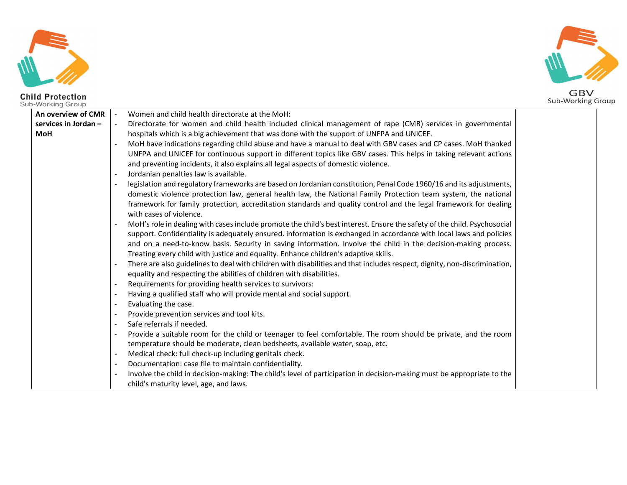



An overview of CMR  $\vert$  - Women and child health directorate at the MoH: services in Jordan – **services in Jordan** –  $\begin{vmatrix} - & \text{Directorate for women and child health included clinical management of range (CMR) services in governmental  
\nMOH > 2.5.$ MoH have indications regarding child abuse and have a manual to deal with GBV cases and CP cases. MoH thanked UNFPA and UNICEF for continuous support in different topics like GBV cases. This helps in taking relevant actions and preventing incidents, it also explains all legal aspects of domestic violence.<br>Jordanian penalties law is available.<br>legislation and regulatory frameworks are based on Jordanian constitution, Penal Code 1960/16 and its domestic violence protection law, general health law, the National Family Protection team system, the national framework for family protection, accreditation standards and quality control and the legal framework for dealing with cases of violence.<br>MoH's role in dealing with cases include promote the child's best interest. Ensure the safety of the child. Psychosocial support. Confidentiality is adequately ensured. information is exchanged in accordance with local laws and policies and on a need-to-know basis. Security in saving information. Involve the child in the decision-making process. Treating every child with justice and equality. Enhance children's adaptive skills.<br>There are also guidelines to deal with children with disabilities and that includes respect, dignity, non-discrimination, equality and respecting the abilities of children with disabilities.<br>
- Requirements for providing health services to survivors:<br>
- Having a qualified staff who will provide mental and social support.<br>
- Evaluating the cas temperature should be moderate, clean bedsheets, available water, soap, etc.<br>1. Medical check: full check-up including genitals check.<br>2. Documentation: case file to maintain confidentiality.<br>2. Involve the child in decisi child's maturity level, age, and laws.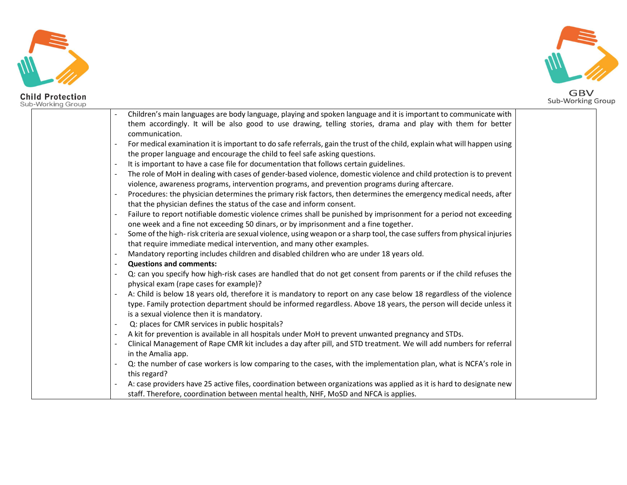



|  |                | Children's main languages are body language, playing and spoken language and it is important to communicate with          |  |
|--|----------------|---------------------------------------------------------------------------------------------------------------------------|--|
|  |                | them accordingly. It will be also good to use drawing, telling stories, drama and play with them for better               |  |
|  |                | communication.                                                                                                            |  |
|  | $\blacksquare$ | For medical examination it is important to do safe referrals, gain the trust of the child, explain what will happen using |  |
|  |                | the proper language and encourage the child to feel safe asking questions.                                                |  |
|  | $\blacksquare$ | It is important to have a case file for documentation that follows certain guidelines.                                    |  |
|  | $\blacksquare$ | The role of MoH in dealing with cases of gender-based violence, domestic violence and child protection is to prevent      |  |
|  |                | violence, awareness programs, intervention programs, and prevention programs during aftercare.                            |  |
|  | $\blacksquare$ | Procedures: the physician determines the primary risk factors, then determines the emergency medical needs, after         |  |
|  |                | that the physician defines the status of the case and inform consent.                                                     |  |
|  | $\blacksquare$ | Failure to report notifiable domestic violence crimes shall be punished by imprisonment for a period not exceeding        |  |
|  |                | one week and a fine not exceeding 50 dinars, or by imprisonment and a fine together.                                      |  |
|  | $\blacksquare$ | Some of the high-risk criteria are sexual violence, using weapon or a sharp tool, the case suffers from physical injuries |  |
|  |                | that require immediate medical intervention, and many other examples.                                                     |  |
|  | $\mathbf{u}$   | Mandatory reporting includes children and disabled children who are under 18 years old.                                   |  |
|  | $\sim$         | <b>Questions and comments:</b>                                                                                            |  |
|  |                | Q: can you specify how high-risk cases are handled that do not get consent from parents or if the child refuses the       |  |
|  |                | physical exam (rape cases for example)?                                                                                   |  |
|  |                | A: Child is below 18 years old, therefore it is mandatory to report on any case below 18 regardless of the violence       |  |
|  |                | type. Family protection department should be informed regardless. Above 18 years, the person will decide unless it        |  |
|  |                | is a sexual violence then it is mandatory.                                                                                |  |
|  | $\blacksquare$ | Q: places for CMR services in public hospitals?                                                                           |  |
|  | $\blacksquare$ | A kit for prevention is available in all hospitals under MoH to prevent unwanted pregnancy and STDs.                      |  |
|  |                | Clinical Management of Rape CMR kit includes a day after pill, and STD treatment. We will add numbers for referral        |  |
|  |                | in the Amalia app.                                                                                                        |  |
|  |                | Q: the number of case workers is low comparing to the cases, with the implementation plan, what is NCFA's role in         |  |
|  |                | this regard?                                                                                                              |  |
|  |                | A: case providers have 25 active files, coordination between organizations was applied as it is hard to designate new     |  |
|  |                | staff. Therefore, coordination between mental health, NHF, MoSD and NFCA is applies.                                      |  |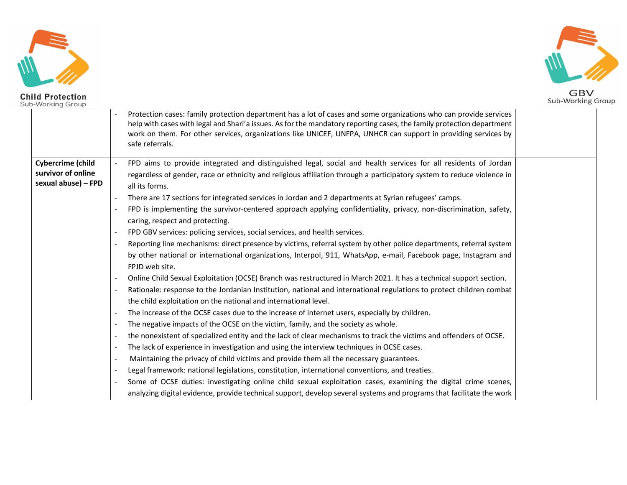



|                          |                          | Protection cases: family protection department has a lot of cases and some organizations who can provide services<br>help with cases with legal and Shari'a issues. As for the mandatory reporting cases, the family protection department<br>work on them. For other services, organizations like UNICEF, UNFPA, UNHCR can support in providing services by<br>safe referrals. |  |
|--------------------------|--------------------------|---------------------------------------------------------------------------------------------------------------------------------------------------------------------------------------------------------------------------------------------------------------------------------------------------------------------------------------------------------------------------------|--|
| <b>Cybercrime (child</b> |                          | FPD aims to provide integrated and distinguished legal, social and health services for all residents of Jordan                                                                                                                                                                                                                                                                  |  |
| survivor of online       |                          | regardless of gender, race or ethnicity and religious affiliation through a participatory system to reduce violence in                                                                                                                                                                                                                                                          |  |
| sexual abuse) - FPD      |                          | all its forms.                                                                                                                                                                                                                                                                                                                                                                  |  |
|                          |                          | There are 17 sections for integrated services in Jordan and 2 departments at Syrian refugees' camps.                                                                                                                                                                                                                                                                            |  |
|                          |                          | FPD is implementing the survivor-centered approach applying confidentiality, privacy, non-discrimination, safety,                                                                                                                                                                                                                                                               |  |
|                          |                          | caring, respect and protecting.                                                                                                                                                                                                                                                                                                                                                 |  |
|                          |                          | FPD GBV services: policing services, social services, and health services.                                                                                                                                                                                                                                                                                                      |  |
|                          |                          | Reporting line mechanisms: direct presence by victims, referral system by other police departments, referral system                                                                                                                                                                                                                                                             |  |
|                          |                          | by other national or international organizations, Interpol, 911, WhatsApp, e-mail, Facebook page, Instagram and                                                                                                                                                                                                                                                                 |  |
|                          |                          | FPJD web site.                                                                                                                                                                                                                                                                                                                                                                  |  |
|                          |                          | Online Child Sexual Exploitation (OCSE) Branch was restructured in March 2021. It has a technical support section.                                                                                                                                                                                                                                                              |  |
|                          |                          | Rationale: response to the Jordanian Institution, national and international regulations to protect children combat                                                                                                                                                                                                                                                             |  |
|                          |                          | the child exploitation on the national and international level.                                                                                                                                                                                                                                                                                                                 |  |
|                          |                          | The increase of the OCSE cases due to the increase of internet users, especially by children.                                                                                                                                                                                                                                                                                   |  |
|                          |                          | The negative impacts of the OCSE on the victim, family, and the society as whole.                                                                                                                                                                                                                                                                                               |  |
|                          | $\blacksquare$           | the nonexistent of specialized entity and the lack of clear mechanisms to track the victims and offenders of OCSE.                                                                                                                                                                                                                                                              |  |
|                          | $\overline{\phantom{a}}$ | The lack of experience in investigation and using the interview techniques in OCSE cases.                                                                                                                                                                                                                                                                                       |  |
|                          | $\overline{\phantom{a}}$ | Maintaining the privacy of child victims and provide them all the necessary guarantees.                                                                                                                                                                                                                                                                                         |  |
|                          |                          | Legal framework: national legislations, constitution, international conventions, and treaties.                                                                                                                                                                                                                                                                                  |  |
|                          |                          | Some of OCSE duties: investigating online child sexual exploitation cases, examining the digital crime scenes,                                                                                                                                                                                                                                                                  |  |
|                          |                          | analyzing digital evidence, provide technical support, develop several systems and programs that facilitate the work                                                                                                                                                                                                                                                            |  |